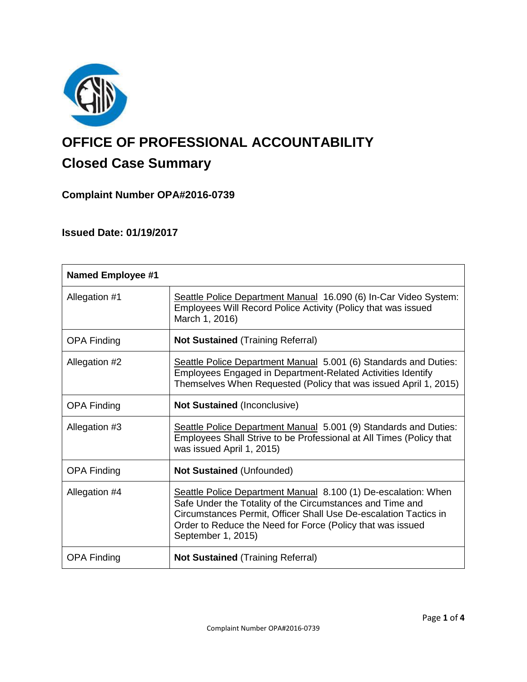

# **OFFICE OF PROFESSIONAL ACCOUNTABILITY Closed Case Summary**

**Complaint Number OPA#2016-0739**

**Issued Date: 01/19/2017**

| <b>Named Employee #1</b> |                                                                                                                                                                                                                                                                                     |
|--------------------------|-------------------------------------------------------------------------------------------------------------------------------------------------------------------------------------------------------------------------------------------------------------------------------------|
| Allegation #1            | Seattle Police Department Manual 16.090 (6) In-Car Video System:<br>Employees Will Record Police Activity (Policy that was issued<br>March 1, 2016)                                                                                                                                 |
| <b>OPA Finding</b>       | <b>Not Sustained (Training Referral)</b>                                                                                                                                                                                                                                            |
| Allegation #2            | Seattle Police Department Manual 5.001 (6) Standards and Duties:<br>Employees Engaged in Department-Related Activities Identify<br>Themselves When Requested (Policy that was issued April 1, 2015)                                                                                 |
| <b>OPA Finding</b>       | <b>Not Sustained (Inconclusive)</b>                                                                                                                                                                                                                                                 |
| Allegation #3            | Seattle Police Department Manual 5.001 (9) Standards and Duties:<br>Employees Shall Strive to be Professional at All Times (Policy that<br>was issued April 1, 2015)                                                                                                                |
| <b>OPA Finding</b>       | <b>Not Sustained (Unfounded)</b>                                                                                                                                                                                                                                                    |
| Allegation #4            | Seattle Police Department Manual 8.100 (1) De-escalation: When<br>Safe Under the Totality of the Circumstances and Time and<br>Circumstances Permit, Officer Shall Use De-escalation Tactics in<br>Order to Reduce the Need for Force (Policy that was issued<br>September 1, 2015) |
| <b>OPA Finding</b>       | <b>Not Sustained (Training Referral)</b>                                                                                                                                                                                                                                            |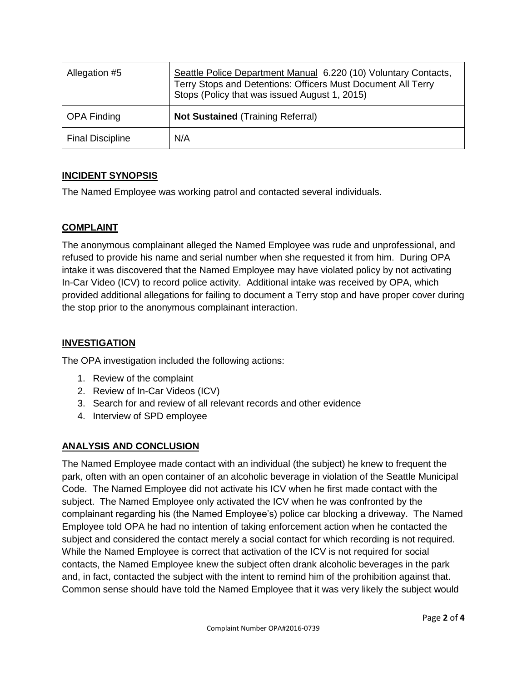| Allegation #5           | Seattle Police Department Manual 6.220 (10) Voluntary Contacts,<br>Terry Stops and Detentions: Officers Must Document All Terry<br>Stops (Policy that was issued August 1, 2015) |
|-------------------------|----------------------------------------------------------------------------------------------------------------------------------------------------------------------------------|
| <b>OPA Finding</b>      | <b>Not Sustained (Training Referral)</b>                                                                                                                                         |
| <b>Final Discipline</b> | N/A                                                                                                                                                                              |

# **INCIDENT SYNOPSIS**

The Named Employee was working patrol and contacted several individuals.

# **COMPLAINT**

The anonymous complainant alleged the Named Employee was rude and unprofessional, and refused to provide his name and serial number when she requested it from him. During OPA intake it was discovered that the Named Employee may have violated policy by not activating In-Car Video (ICV) to record police activity. Additional intake was received by OPA, which provided additional allegations for failing to document a Terry stop and have proper cover during the stop prior to the anonymous complainant interaction.

# **INVESTIGATION**

The OPA investigation included the following actions:

- 1. Review of the complaint
- 2. Review of In-Car Videos (ICV)
- 3. Search for and review of all relevant records and other evidence
- 4. Interview of SPD employee

# **ANALYSIS AND CONCLUSION**

The Named Employee made contact with an individual (the subject) he knew to frequent the park, often with an open container of an alcoholic beverage in violation of the Seattle Municipal Code. The Named Employee did not activate his ICV when he first made contact with the subject. The Named Employee only activated the ICV when he was confronted by the complainant regarding his (the Named Employee's) police car blocking a driveway. The Named Employee told OPA he had no intention of taking enforcement action when he contacted the subject and considered the contact merely a social contact for which recording is not required. While the Named Employee is correct that activation of the ICV is not required for social contacts, the Named Employee knew the subject often drank alcoholic beverages in the park and, in fact, contacted the subject with the intent to remind him of the prohibition against that. Common sense should have told the Named Employee that it was very likely the subject would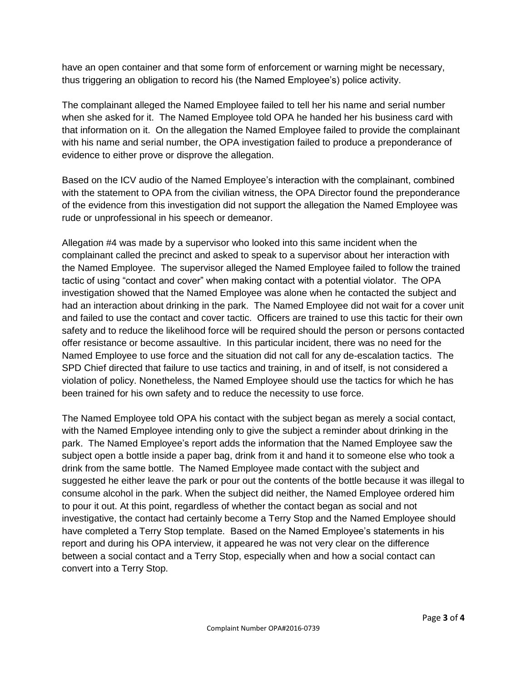have an open container and that some form of enforcement or warning might be necessary, thus triggering an obligation to record his (the Named Employee's) police activity.

The complainant alleged the Named Employee failed to tell her his name and serial number when she asked for it. The Named Employee told OPA he handed her his business card with that information on it. On the allegation the Named Employee failed to provide the complainant with his name and serial number, the OPA investigation failed to produce a preponderance of evidence to either prove or disprove the allegation.

Based on the ICV audio of the Named Employee's interaction with the complainant, combined with the statement to OPA from the civilian witness, the OPA Director found the preponderance of the evidence from this investigation did not support the allegation the Named Employee was rude or unprofessional in his speech or demeanor.

Allegation #4 was made by a supervisor who looked into this same incident when the complainant called the precinct and asked to speak to a supervisor about her interaction with the Named Employee. The supervisor alleged the Named Employee failed to follow the trained tactic of using "contact and cover" when making contact with a potential violator. The OPA investigation showed that the Named Employee was alone when he contacted the subject and had an interaction about drinking in the park. The Named Employee did not wait for a cover unit and failed to use the contact and cover tactic. Officers are trained to use this tactic for their own safety and to reduce the likelihood force will be required should the person or persons contacted offer resistance or become assaultive. In this particular incident, there was no need for the Named Employee to use force and the situation did not call for any de-escalation tactics. The SPD Chief directed that failure to use tactics and training, in and of itself, is not considered a violation of policy. Nonetheless, the Named Employee should use the tactics for which he has been trained for his own safety and to reduce the necessity to use force.

The Named Employee told OPA his contact with the subject began as merely a social contact, with the Named Employee intending only to give the subject a reminder about drinking in the park. The Named Employee's report adds the information that the Named Employee saw the subject open a bottle inside a paper bag, drink from it and hand it to someone else who took a drink from the same bottle. The Named Employee made contact with the subject and suggested he either leave the park or pour out the contents of the bottle because it was illegal to consume alcohol in the park. When the subject did neither, the Named Employee ordered him to pour it out. At this point, regardless of whether the contact began as social and not investigative, the contact had certainly become a Terry Stop and the Named Employee should have completed a Terry Stop template. Based on the Named Employee's statements in his report and during his OPA interview, it appeared he was not very clear on the difference between a social contact and a Terry Stop, especially when and how a social contact can convert into a Terry Stop.